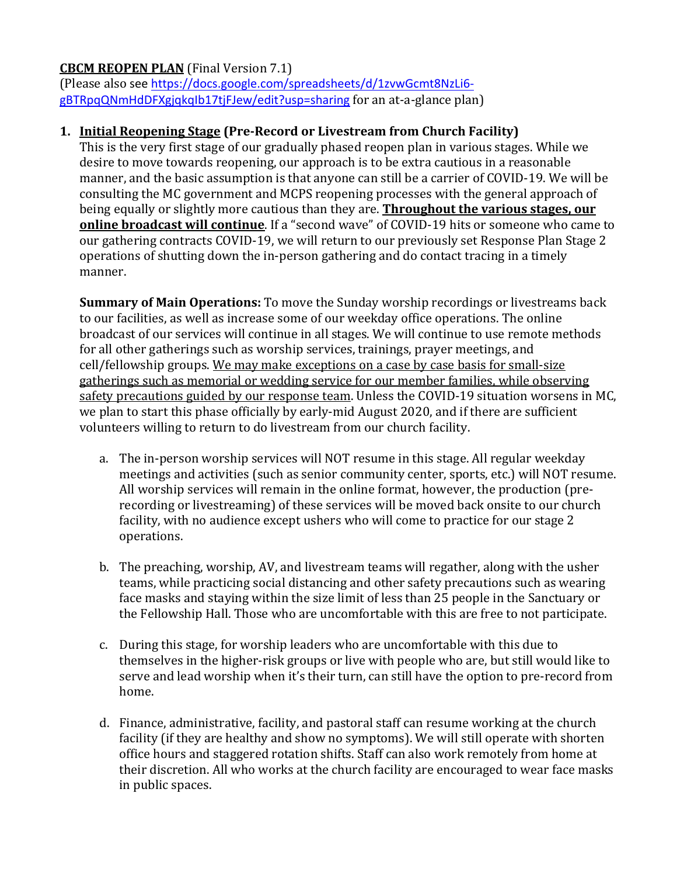# **CBCM REOPEN PLAN** (Final Version 7.1)

(Please also see https://docs.google.com/spreadsheets/d/1zvwGcmt8NzLi6 gBTRpqQNmHdDFXgjqkqIb17tjFJew/edit?usp=sharing for an at-a-glance plan)

# **1. Initial Reopening Stage** (Pre-Record or Livestream from Church Facility)

This is the very first stage of our gradually phased reopen plan in various stages. While we desire to move towards reopening, our approach is to be extra cautious in a reasonable manner, and the basic assumption is that anyone can still be a carrier of COVID-19. We will be consulting the MC government and MCPS reopening processes with the general approach of being equally or slightly more cautious than they are. **Throughout the various stages, our online broadcast will continue**. If a "second wave" of COVID-19 hits or someone who came to our gathering contracts COVID-19, we will return to our previously set Response Plan Stage 2 operations of shutting down the in-person gathering and do contact tracing in a timely manner.

**Summary of Main Operations:** To move the Sunday worship recordings or livestreams back to our facilities, as well as increase some of our weekday office operations. The online broadcast of our services will continue in all stages. We will continue to use remote methods for all other gatherings such as worship services, trainings, prayer meetings, and cell/fellowship groups. We may make exceptions on a case by case basis for small-size gatherings such as memorial or wedding service for our member families, while observing safety precautions guided by our response team. Unless the COVID-19 situation worsens in MC, we plan to start this phase officially by early-mid August 2020, and if there are sufficient volunteers willing to return to do livestream from our church facility.

- a. The in-person worship services will NOT resume in this stage. All regular weekday meetings and activities (such as senior community center, sports, etc.) will NOT resume. All worship services will remain in the online format, however, the production (prerecording or livestreaming) of these services will be moved back onsite to our church facility, with no audience except ushers who will come to practice for our stage 2 operations.
- b. The preaching, worship, AV, and livestream teams will regather, along with the usher teams, while practicing social distancing and other safety precautions such as wearing face masks and staying within the size limit of less than 25 people in the Sanctuary or the Fellowship Hall. Those who are uncomfortable with this are free to not participate.
- c. During this stage, for worship leaders who are uncomfortable with this due to themselves in the higher-risk groups or live with people who are, but still would like to serve and lead worship when it's their turn, can still have the option to pre-record from home.
- d. Finance, administrative, facility, and pastoral staff can resume working at the church facility (if they are healthy and show no symptoms). We will still operate with shorten office hours and staggered rotation shifts. Staff can also work remotely from home at their discretion. All who works at the church facility are encouraged to wear face masks in public spaces.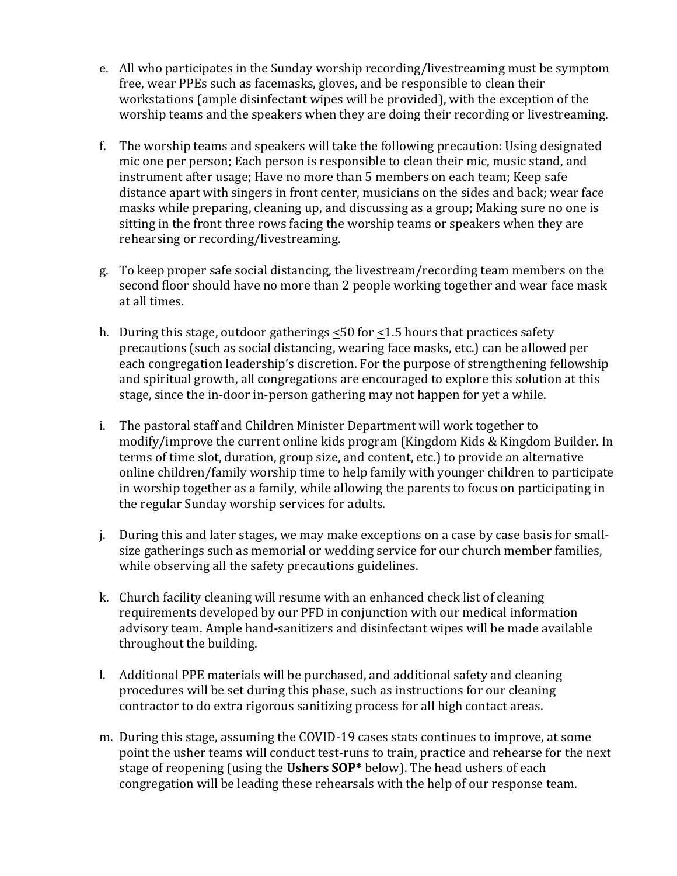- e. All who participates in the Sunday worship recording/livestreaming must be symptom free, wear PPEs such as facemasks, gloves, and be responsible to clean their workstations (ample disinfectant wipes will be provided), with the exception of the worship teams and the speakers when they are doing their recording or livestreaming.
- f. The worship teams and speakers will take the following precaution: Using designated mic one per person; Each person is responsible to clean their mic, music stand, and instrument after usage; Have no more than 5 members on each team; Keep safe distance apart with singers in front center, musicians on the sides and back; wear face masks while preparing, cleaning up, and discussing as a group; Making sure no one is sitting in the front three rows facing the worship teams or speakers when they are rehearsing or recording/livestreaming.
- g. To keep proper safe social distancing, the livestream/recording team members on the second floor should have no more than 2 people working together and wear face mask at all times.
- h. During this stage, outdoor gatherings  $\leq 50$  for  $\leq 1.5$  hours that practices safety precautions (such as social distancing, wearing face masks, etc.) can be allowed per each congregation leadership's discretion. For the purpose of strengthening fellowship and spiritual growth, all congregations are encouraged to explore this solution at this stage, since the in-door in-person gathering may not happen for yet a while.
- i. The pastoral staff and Children Minister Department will work together to modify/improve the current online kids program (Kingdom Kids & Kingdom Builder. In terms of time slot, duration, group size, and content, etc.) to provide an alternative online children/family worship time to help family with younger children to participate in worship together as a family, while allowing the parents to focus on participating in the regular Sunday worship services for adults.
- j. During this and later stages, we may make exceptions on a case by case basis for smallsize gatherings such as memorial or wedding service for our church member families, while observing all the safety precautions guidelines.
- k. Church facility cleaning will resume with an enhanced check list of cleaning requirements developed by our PFD in conjunction with our medical information advisory team. Ample hand-sanitizers and disinfectant wipes will be made available throughout the building.
- l. Additional PPE materials will be purchased, and additional safety and cleaning procedures will be set during this phase, such as instructions for our cleaning contractor to do extra rigorous sanitizing process for all high contact areas.
- m. During this stage, assuming the COVID-19 cases stats continues to improve, at some point the usher teams will conduct test-runs to train, practice and rehearse for the next stage of reopening (using the Ushers SOP\* below). The head ushers of each congregation will be leading these rehearsals with the help of our response team.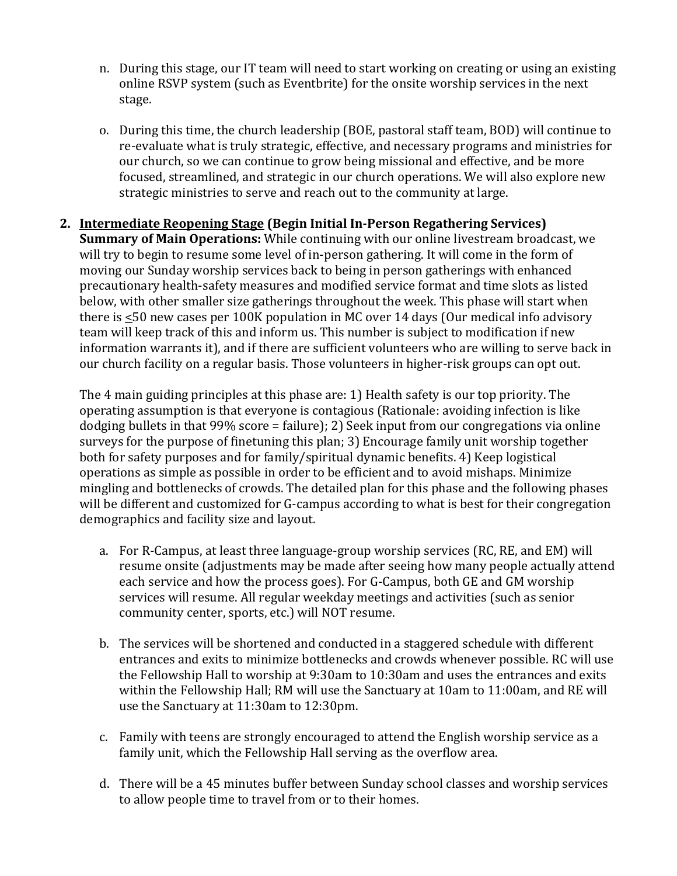- n. During this stage, our IT team will need to start working on creating or using an existing online RSVP system (such as Eventbrite) for the onsite worship services in the next stage.
- o. During this time, the church leadership (BOE, pastoral staff team, BOD) will continue to re-evaluate what is truly strategic, effective, and necessary programs and ministries for our church, so we can continue to grow being missional and effective, and be more focused, streamlined, and strategic in our church operations. We will also explore new strategic ministries to serve and reach out to the community at large.
- **2. Intermediate Reopening Stage (Begin Initial In-Person Regathering Services) Summary of Main Operations:** While continuing with our online livestream broadcast, we will try to begin to resume some level of in-person gathering. It will come in the form of moving our Sunday worship services back to being in person gatherings with enhanced precautionary health-safety measures and modified service format and time slots as listed below, with other smaller size gatherings throughout the week. This phase will start when there is  $\leq 50$  new cases per 100K population in MC over 14 days (Our medical info advisory team will keep track of this and inform us. This number is subject to modification if new information warrants it), and if there are sufficient volunteers who are willing to serve back in our church facility on a regular basis. Those volunteers in higher-risk groups can opt out.

The 4 main guiding principles at this phase are: 1) Health safety is our top priority. The operating assumption is that everyone is contagious (Rationale: avoiding infection is like dodging bullets in that  $99\%$  score = failure); 2) Seek input from our congregations via online surveys for the purpose of finetuning this plan; 3) Encourage family unit worship together both for safety purposes and for family/spiritual dynamic benefits. 4) Keep logistical operations as simple as possible in order to be efficient and to avoid mishaps. Minimize mingling and bottlenecks of crowds. The detailed plan for this phase and the following phases will be different and customized for G-campus according to what is best for their congregation demographics and facility size and layout.

- a. For R-Campus, at least three language-group worship services (RC, RE, and EM) will resume onsite (adjustments may be made after seeing how many people actually attend each service and how the process goes). For G-Campus, both GE and GM worship services will resume. All regular weekday meetings and activities (such as senior community center, sports, etc.) will NOT resume.
- b. The services will be shortened and conducted in a staggered schedule with different entrances and exits to minimize bottlenecks and crowds whenever possible. RC will use the Fellowship Hall to worship at  $9:30$ am to  $10:30$ am and uses the entrances and exits within the Fellowship Hall; RM will use the Sanctuary at 10am to 11:00am, and RE will use the Sanctuary at 11:30am to 12:30pm.
- c. Family with teens are strongly encouraged to attend the English worship service as a family unit, which the Fellowship Hall serving as the overflow area.
- d. There will be a 45 minutes buffer between Sunday school classes and worship services to allow people time to travel from or to their homes.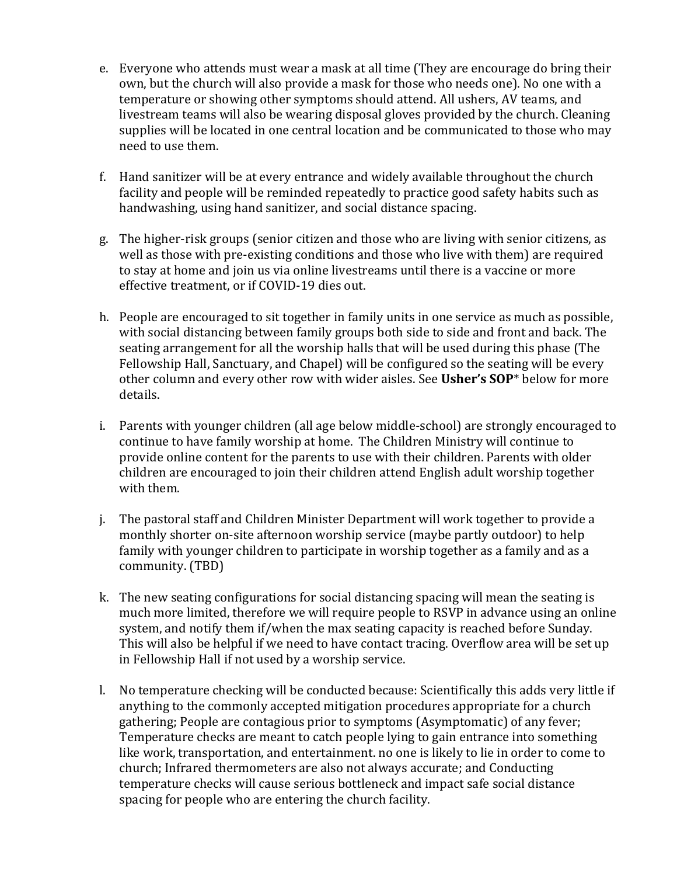- e. Everyone who attends must wear a mask at all time (They are encourage do bring their own, but the church will also provide a mask for those who needs one). No one with a temperature or showing other symptoms should attend. All ushers, AV teams, and livestream teams will also be wearing disposal gloves provided by the church. Cleaning supplies will be located in one central location and be communicated to those who may need to use them.
- f. Hand sanitizer will be at every entrance and widely available throughout the church facility and people will be reminded repeatedly to practice good safety habits such as handwashing, using hand sanitizer, and social distance spacing.
- g. The higher-risk groups (senior citizen and those who are living with senior citizens, as well as those with pre-existing conditions and those who live with them) are required to stay at home and join us via online livestreams until there is a vaccine or more effective treatment, or if COVID-19 dies out.
- h. People are encouraged to sit together in family units in one service as much as possible, with social distancing between family groups both side to side and front and back. The seating arrangement for all the worship halls that will be used during this phase (The Fellowship Hall, Sanctuary, and Chapel) will be configured so the seating will be every other column and every other row with wider aisles. See Usher's SOP<sup>\*</sup> below for more details.
- i. Parents with younger children (all age below middle-school) are strongly encouraged to continue to have family worship at home. The Children Ministry will continue to provide online content for the parents to use with their children. Parents with older children are encouraged to join their children attend English adult worship together with them.
- j. The pastoral staff and Children Minister Department will work together to provide a monthly shorter on-site afternoon worship service (maybe partly outdoor) to help family with younger children to participate in worship together as a family and as a community. (TBD)
- k. The new seating configurations for social distancing spacing will mean the seating is much more limited, therefore we will require people to RSVP in advance using an online system, and notify them if/when the max seating capacity is reached before Sunday. This will also be helpful if we need to have contact tracing. Overflow area will be set up in Fellowship Hall if not used by a worship service.
- l. No temperature checking will be conducted because: Scientifically this adds very little if anything to the commonly accepted mitigation procedures appropriate for a church gathering; People are contagious prior to symptoms (Asymptomatic) of any fever; Temperature checks are meant to catch people lying to gain entrance into something like work, transportation, and entertainment. no one is likely to lie in order to come to church; Infrared thermometers are also not always accurate; and Conducting temperature checks will cause serious bottleneck and impact safe social distance spacing for people who are entering the church facility.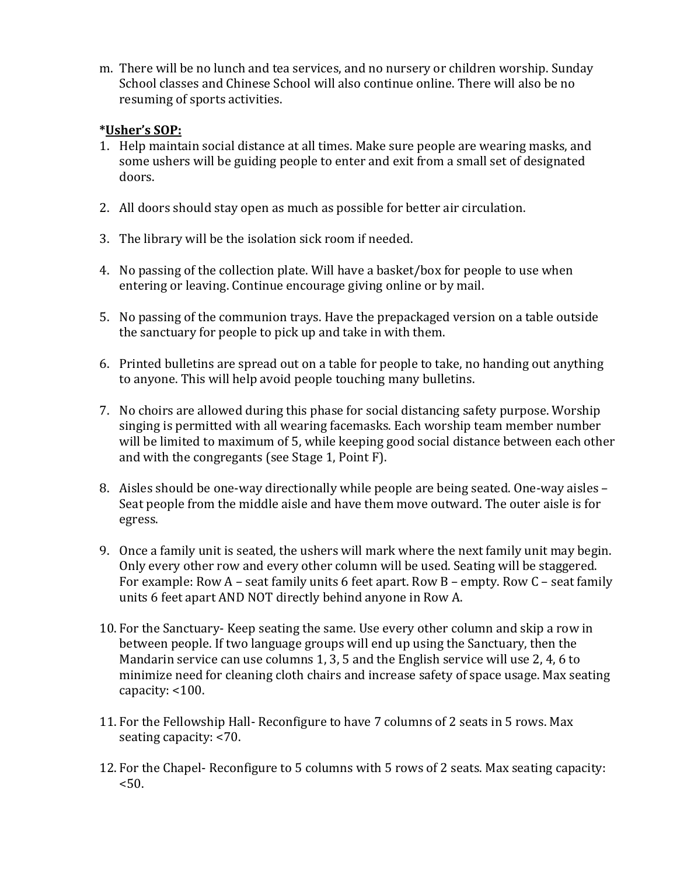m. There will be no lunch and tea services, and no nursery or children worship. Sunday School classes and Chinese School will also continue online. There will also be no resuming of sports activities.

## **\*Usher's SOP:**

- 1. Help maintain social distance at all times. Make sure people are wearing masks, and some ushers will be guiding people to enter and exit from a small set of designated doors.
- 2. All doors should stay open as much as possible for better air circulation.
- 3. The library will be the isolation sick room if needed.
- 4. No passing of the collection plate. Will have a basket/box for people to use when entering or leaving. Continue encourage giving online or by mail.
- 5. No passing of the communion trays. Have the prepackaged version on a table outside the sanctuary for people to pick up and take in with them.
- 6. Printed bulletins are spread out on a table for people to take, no handing out anything to anyone. This will help avoid people touching many bulletins.
- 7. No choirs are allowed during this phase for social distancing safety purpose. Worship singing is permitted with all wearing facemasks. Each worship team member number will be limited to maximum of 5, while keeping good social distance between each other and with the congregants (see Stage 1, Point  $F$ ).
- 8. Aisles should be one-way directionally while people are being seated. One-way aisles Seat people from the middle aisle and have them move outward. The outer aisle is for egress.
- 9. Once a family unit is seated, the ushers will mark where the next family unit may begin. Only every other row and every other column will be used. Seating will be staggered. For example: Row A – seat family units 6 feet apart. Row B – empty. Row C – seat family units 6 feet apart AND NOT directly behind anyone in Row A.
- 10. For the Sanctuary- Keep seating the same. Use every other column and skip a row in between people. If two language groups will end up using the Sanctuary, then the Mandarin service can use columns 1, 3, 5 and the English service will use 2, 4, 6 to minimize need for cleaning cloth chairs and increase safety of space usage. Max seating capacity: <100.
- 11. For the Fellowship Hall- Reconfigure to have 7 columns of 2 seats in 5 rows. Max seating capacity: <70.
- 12. For the Chapel- Reconfigure to 5 columns with 5 rows of 2 seats. Max seating capacity:  $< 50.$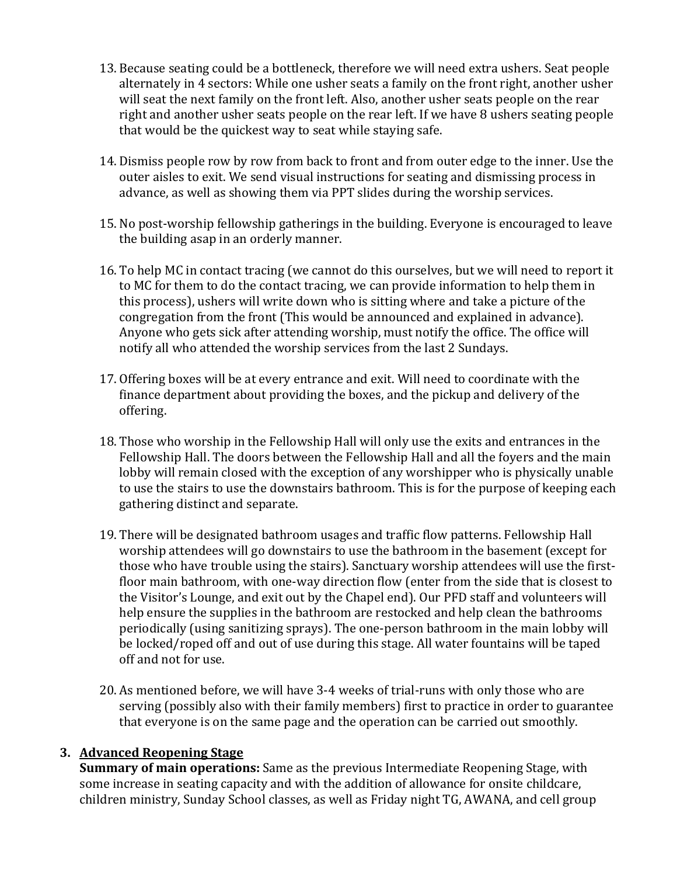- 13. Because seating could be a bottleneck, therefore we will need extra ushers. Seat people alternately in 4 sectors: While one usher seats a family on the front right, another usher will seat the next family on the front left. Also, another usher seats people on the rear right and another usher seats people on the rear left. If we have 8 ushers seating people that would be the quickest way to seat while staying safe.
- 14. Dismiss people row by row from back to front and from outer edge to the inner. Use the outer aisles to exit. We send visual instructions for seating and dismissing process in advance, as well as showing them via PPT slides during the worship services.
- 15. No post-worship fellowship gatherings in the building. Everyone is encouraged to leave the building asap in an orderly manner.
- 16. To help MC in contact tracing (we cannot do this ourselves, but we will need to report it to MC for them to do the contact tracing, we can provide information to help them in this process), ushers will write down who is sitting where and take a picture of the congregation from the front (This would be announced and explained in advance). Anyone who gets sick after attending worship, must notify the office. The office will notify all who attended the worship services from the last 2 Sundays.
- 17. Offering boxes will be at every entrance and exit. Will need to coordinate with the finance department about providing the boxes, and the pickup and delivery of the offering.
- 18. Those who worship in the Fellowship Hall will only use the exits and entrances in the Fellowship Hall. The doors between the Fellowship Hall and all the foyers and the main lobby will remain closed with the exception of any worshipper who is physically unable to use the stairs to use the downstairs bathroom. This is for the purpose of keeping each gathering distinct and separate.
- 19. There will be designated bathroom usages and traffic flow patterns. Fellowship Hall worship attendees will go downstairs to use the bathroom in the basement (except for those who have trouble using the stairs). Sanctuary worship attendees will use the firstfloor main bathroom, with one-way direction flow (enter from the side that is closest to the Visitor's Lounge, and exit out by the Chapel end). Our PFD staff and volunteers will help ensure the supplies in the bathroom are restocked and help clean the bathrooms periodically (using sanitizing sprays). The one-person bathroom in the main lobby will be locked/roped off and out of use during this stage. All water fountains will be taped off and not for use.
- 20. As mentioned before, we will have 3-4 weeks of trial-runs with only those who are serving (possibly also with their family members) first to practice in order to guarantee that everyone is on the same page and the operation can be carried out smoothly.

### **3. Advanced Reopening Stage**

**Summary of main operations:** Same as the previous Intermediate Reopening Stage, with some increase in seating capacity and with the addition of allowance for onsite childcare, children ministry, Sunday School classes, as well as Friday night TG, AWANA, and cell group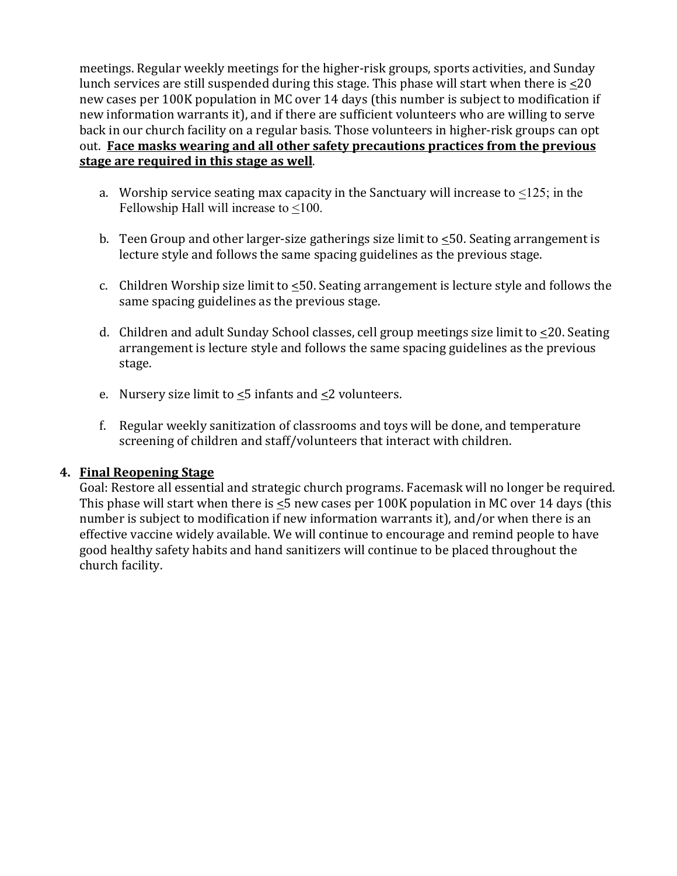meetings. Regular weekly meetings for the higher-risk groups, sports activities, and Sunday lunch services are still suspended during this stage. This phase will start when there is  $\leq 20$ new cases per 100K population in MC over 14 days (this number is subject to modification if new information warrants it), and if there are sufficient volunteers who are willing to serve back in our church facility on a regular basis. Those volunteers in higher-risk groups can opt out. Face masks wearing and all other safety precautions practices from the previous **stage are required in this stage as well.** 

- a. Worship service seating max capacity in the Sanctuary will increase to  $\leq 125$ ; in the Fellowship Hall will increase to <100.
- b. Teen Group and other larger-size gatherings size limit to <50. Seating arrangement is lecture style and follows the same spacing guidelines as the previous stage.
- c. Children Worship size limit to  $\leq 50$ . Seating arrangement is lecture style and follows the same spacing guidelines as the previous stage.
- d. Children and adult Sunday School classes, cell group meetings size limit to  $\leq$ 20. Seating arrangement is lecture style and follows the same spacing guidelines as the previous stage.
- e. Nursery size limit to  $\leq$ 5 infants and  $\leq$ 2 volunteers.
- f. Regular weekly sanitization of classrooms and toys will be done, and temperature screening of children and staff/volunteers that interact with children.

### **4. Final Reopening Stage**

Goal: Restore all essential and strategic church programs. Facemask will no longer be required. This phase will start when there is  $\leq$ 5 new cases per 100K population in MC over 14 days (this number is subject to modification if new information warrants it), and/or when there is an effective vaccine widely available. We will continue to encourage and remind people to have good healthy safety habits and hand sanitizers will continue to be placed throughout the church facility.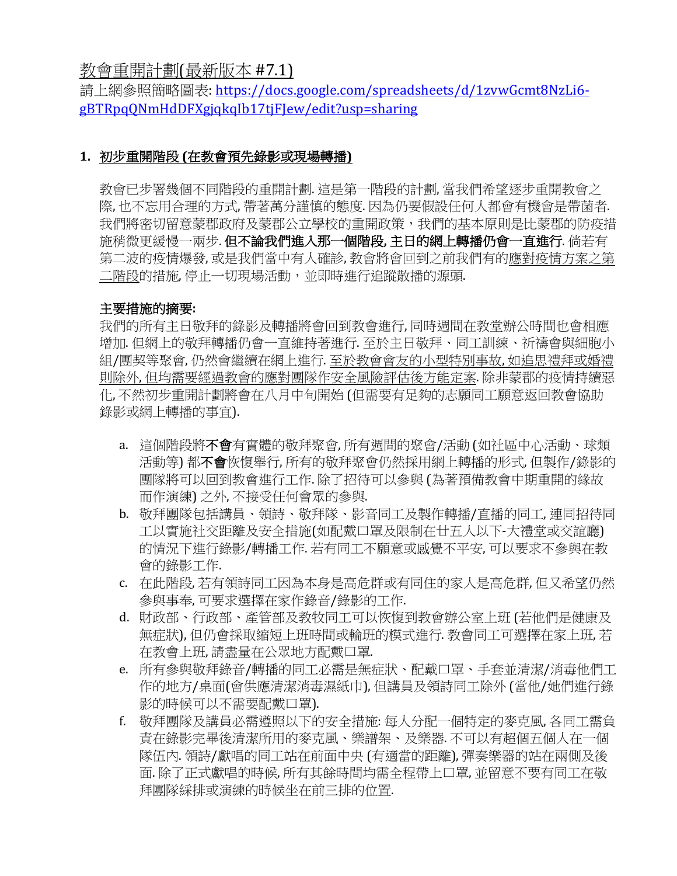教會重開計劃(最新版本 #7.1)

請上網參照簡略圖表: https://docs.google.com/spreadsheets/d/1zvwGcmt8NzLi6gBTRpqQNmHdDFXgjqkqIb17tjFJew/edit?usp=sharing

# **1.** 初步重開階段 **(**在教會預先錄影或現場轉播**)**

教會已步署幾個不同階段的重開計劃. 這是第一階段的計劃. 當我們希望逐步重開教會之 際, 也不忘用合理的方式, 帶著萬分謹慎的熊度. 因為仍要假設任何人都會有機會是帶菌者. 我們將密切留意蒙郡政府及蒙郡公立學校的重開政策,我們的基本原則是比蒙郡的防疫措 施稍微更緩慢一兩步. 但不論我們進入那一個階段**,** 主日的網上轉播仍會一直進行. 倘若有 第二波的疫情爆發,或是我們當中有人確診,教會將會回到之前我們有的應對疫情方案之第 二階段的措施, 停止一切現場活動, 並即時進行追蹤散播的源頭.

# 主要措施的摘要**:**

我們的所有主日敬拜的錄影及轉播將會回到教會進行,同時週間在教堂辦公時間也會相應 增加.但網上的敬拜轉播仍會一直維持著進行.至於主日敬拜、同工訓練、祈禱會與細胞小 組/團契等聚會,仍然會繼續在網上進行.至於教會會友的小型特別事故,如追思禮拜或婚禮 則除外,但均需要經過教會的應對團隊作安全風險評估後方能定案.除非蒙郡的疫情持續惡 化, 不然初步重開計劃將會在八月中旬開始 (但需要有足夠的志願同工願意返回教會協助 錄影或網上轉播的事宜).

- a. 這個階段將不會有實體的敬拜聚會, 所有週間的聚會/活動 (如社區中心活動、球類 活動等) 都不會恢愎舉行, 所有的敬拜聚會仍然採用網上轉播的形式, 但製作/錄影的 團隊將可以回到教會進行工作. 除了招待可以參與 (為著預備教會中期重開的緣故 而作演練) 之外, 不接受任何會眾的參與.
- b. 敬拜團隊包括講員、領詩、敬拜隊、影音同工及製作轉播/直播的同工, 連同招待同 工以實施社交距離及安全措施(如配戴口罩及限制在廿五人以下-大禮堂或交誼廳) 的情況下進行錄影/轉播工作. 若有同工不願意或感覺不平安, 可以要求不參與在教 會的錄影工作.
- c. 在此階段, 若有領詩同工因為本身是高危群或有同住的家人是高危群, 但又希望仍然 參與事奉, 可要求選擇在家作錄音/錄影的工作.
- d. 財政部、行政部、產管部及教牧同工可以恢愎到教會辦公室上班 (若他們是健康及 無症狀), 但仍會採取縮短上班時間或輪班的模式進行. 教會同工可選擇在家上班, 若 在教會上班, 請盡量在公眾地方配戴口罩.
- e. 所有參與敬拜錄音/轉播的同工必需是無症狀、配戴口罩、手套並清潔/消毒他們工 作的地方/桌面(會供應清潔消毒濕紙巾),但講員及領詩同工除外(當他/她們進行錄 影的時候可以不需要配戴口罩).
- f. 敬拜團隊及講員必需遵照以下的安全措施:每人分配一個特定的麥克風,各同工需負 責在錄影完畢後清潔所用的麥克風、樂譜架、及樂器. 不可以有超個五個人在一個 隊伍內.領詩/獻唱的同工站在前面中央(有適當的距離),彈奏樂器的站在兩側及後 面. 除了正式獻唱的時候, 所有其餘時間均需全程帶上口罩, 並留意不要有同工在敬 拜團隊綵排或演練的時候坐在前三排的位置.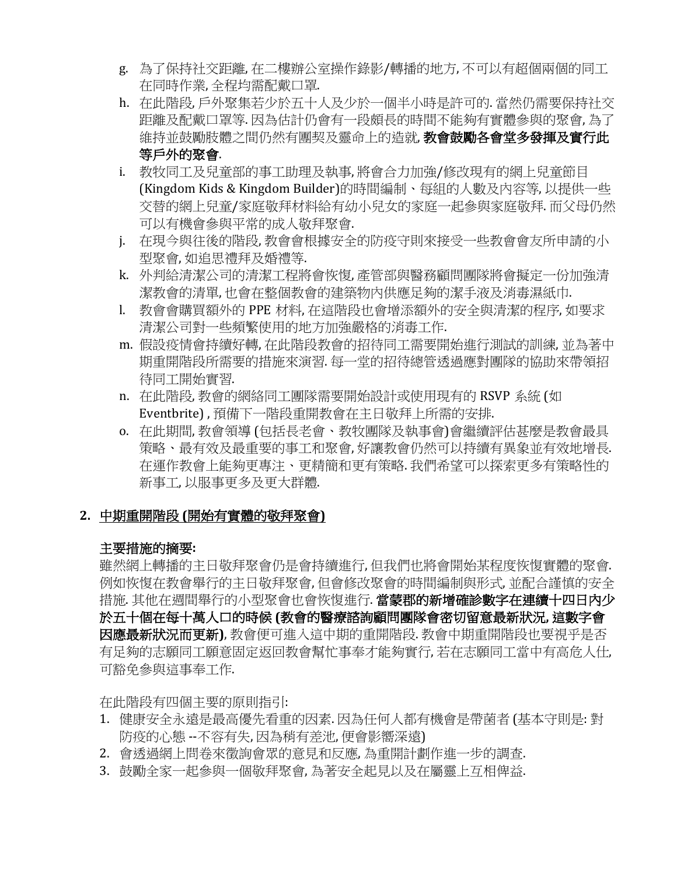- g. 為了保持社交距離, 在二樓辦公室操作錄影/轉播的地方, 不可以有超個兩個的同工 在同時作業, 全程均需配戴口罩.
- h. 在此階段, 戶外聚集若少於五十人及少於一個半小時是許可的. 當然仍需要保持社交 距離及配戴口罩等. 因為估計仍會有一段頗長的時間不能夠有實體參與的聚會, 為了 維持並鼓勵肢體之間仍然有團契及靈命上的造就, 教會鼓勵各會堂多發揮及實行此 等戶外的聚會.
- i. 教牧同工及兒童部的事工助理及執事,將會合力加強/修改現有的網上兒童節目 (Kingdom Kids & Kingdom Builder)的時間編制、每組的人數及內容等, 以提供一些 交替的網上兒童/家庭敬拜材料給有幼小兒女的家庭一起參與家庭敬拜. 而父母仍然 可以有機會參與平常的成人敬拜聚會.
- j. 在現今與往後的階段, 教會會根據安全的防疫守則來接受一些教會會友所申請的小 型聚會,如追思禮拜及婚禮等.
- k. 外判給清潔公司的清潔工程將會恢愎,產管部與醫務顧問團隊將會擬定一份加強清 潔教會的清單, 也會在整個教會的建築物內供應足夠的潔手液及消毒濕紙巾.
- l. 教會會購買額外的 PPE 材料, 在這階段也會增添額外的安全與清潔的程序, 如要求 清潔公司對一些頻繁使用的地方加強嚴格的消毒工作.
- m. 假設疫情會持續好轉, 在此階段教會的招待同工需要開始進行測試的訓練, 並為著中 期重開階段所需要的措施來演習. 每一堂的招待總管透過應對團隊的協助來帶領招 待同工開始實習.
- n. 在此階段, 教會的網絡同工團隊需要開始設計或使用現有的 RSVP 系統 (如 Eventbrite), 預備下一階段重開教會在主日敬拜上所需的安排.
- o. 在此期間, 教會領導 (包括長老會、教牧團隊及執事會)會繼續評估甚麼是教會最具 策略、最有效及最重要的事工和聚會, 好讓教會仍然可以持續有異象並有效地增長. 在運作教會上能夠更專注、更精簡和更有策略. 我們希望可以探索更多有策略性的 新事工, 以服事更多及更大群體.

# **2.** 中期重開階段 **(**開始有實體的敬拜聚會**)**

# 主要措施的摘要:

雖然網上轉播的主日敬拜聚會仍是會持續進行, 但我們也將會開始某程度恢愎實體的聚會. 例如恢愎在教會舉行的主日敬拜聚會, 但會修改聚會的時間編制與形式, 並配合謹慎的安全 措施. 其他在週間舉行的小型聚會也會恢愎進行. 當蒙郡的新增確診數字在連續十四日內少 於五十個在每十萬人口的時候 **(**教會的醫療諮詢顧問團隊會密切留意最新狀況**,** 這數字會 因應最新狀況而更新), 教會便可進入這中期的重開階段. 教會中期重開階段也要視乎是否 有足夠的志願同工願意固定返回教會幫忙事奉才能夠實行,若在志願同工當中有高危人仕, 可豁免參與這事奉工作.

在此階段有四個主要的原則指引:

- 1. 健康安全永遠是最高優先看重的因素. 因為任何人都有機會是帶菌者 (基本守則是: 對 防疫的心態 --不容有失, 因為稍有差池, 便會影嚮深遠)
- 2. 會透過網上問卷來徵詢會眾的意見和反應, 為重開計劃作進一步的調查.
- 3. 鼓勵全家一起參與一個敬拜聚會, 為著安全起見以及在屬靈上互相俾益.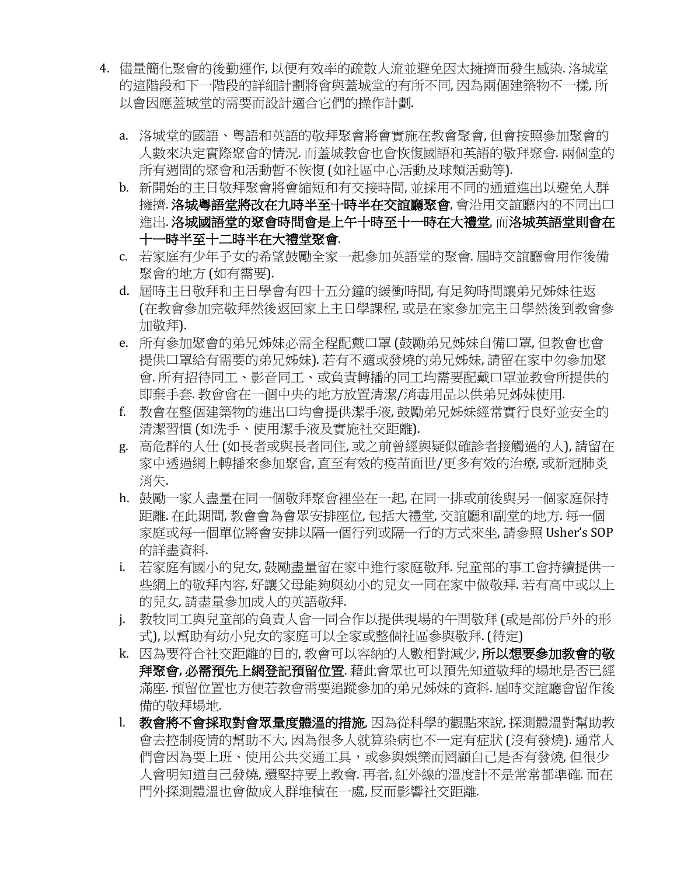- 4. 儘量簡化聚會的後勤運作, 以便有效率的疏散人流並避免因太擁擠而發生感染. 洛城堂 的這階段和下一階段的詳細計劃將會與蓋城堂的有所不同, 因為兩個建築物不一樣, 所 以會因應蓋城堂的需要而設計適合它們的操作計劃.
	- a. 洛城堂的國語、粵語和英語的敬拜聚會將會實施在教會聚會,但會按照參加聚會的 人數來決定實際聚會的情況. 而蓋城教會也會恢愎國語和英語的敬拜聚會. 兩個堂的 所有週間的聚會和活動暫不恢愎 (如社區中心活動及球類活動等).
	- b. 新開始的主日敬拜聚會將會縮短和有交接時間,並採用不同的通道進出以避免人群 擁擠. 洛城粤語堂將改在九時半至十時半在交誼廳聚會, 會沿用交誼廳內的不同出口 進出. 洛城國語堂的聚會時間會是上午十時至十一時在大禮堂, 而洛城英語堂則會在 十一時半至十二時半在大禮堂聚會.
	- c. 若家庭有少年子女的希望鼓勵全家一起參加英語堂的聚會. 屆時交誼廳會用作後備 聚會的地方 (如有需要).
	- d. 屆時主日敬拜和主日學會有四十五分鐘的緩衝時間, 有足夠時間讓弟兄姊妹往返 (在教會參加完敬拜然後返回家上主日學課程,或是在家參加完主日學然後到教會參 加敬拜).
	- e. 所有參加聚會的弟兄姊妹必需全程配戴口罩 (鼓勵弟兄姊妹自備口罩,但教會也會 提供口罩給有需要的弟兄姊妹). 若有不適或發燒的弟兄姊妹, 請留在家中勿參加聚 會. 所有招待同工、影音同工、或負責轉播的同工均需要配戴口罩並教會所提供的 即棄手套. 教會會在一個中央的地方放置清潔/消毒用品以供弟兄姊妹使用.
	- f. 教會在整個建築物的進出口均會提供潔手液, 鼓勵弟兄姊妹經常實行良好並安全的 清潔習慣 (如洗手、使用潔手液及實施社交距離).
	- g. 高危群的人什 (如長者或與長者同住, 或之前曾經與疑似確診者接觸過的人), 請留在 家中透過網上轉播來參加聚會, 直至有效的疫苗面世/更多有效的治療, 或新冠肺炎 消失.
	- h. 鼓勵一家人盡量在同一個敬拜聚會裡坐在一起, 在同一排或前後與另一個家庭保持 距離.在此期間,教會會為會眾安排座位,包括大禮堂,交誼廳和副堂的地方.每一個 家庭或每一個單位將會安排以隔一個行列或隔一行的方式來坐,請參照 Usher's SOP 的詳盡資料.
	- i. 若家庭有國小的兒女, 鼓勵盡量留在家中進行家庭敬拜. 兒童部的事工會持續提供一 些網上的敬拜內容, 好讓父母能夠與幼小的兒女一同在家中做敬拜. 若有高中或以上. 的兒女,請盡量參加成人的英語敬拜.
	- j. 教牧同工與兒童部的負責人會一同合作以提供現場的午間敬拜 (或是部份戶外的形 式), 以幫助有幼小兒女的家庭可以全家或整個社區參與敬拜. (待定)
	- k. 因為要符合社交距離的目的,教會可以容納的人數相對減少, **所以想要參加教會的敬** 拜聚會, 必需預先上網登記預留位置. 藉此會眾也可以預先知道敬拜的場地是否已經 滿座.預留位置也方便若教會需要追蹤參加的弟兄姊妹的資料.屆時交誼廳會留作後 備的敬拜場地.
	- l. 教會將不會採取對會眾量度體溫的措施,因為從科學的觀點來說,探測體溫對幫助教 會去控制疫情的幫助不大,因為很多人就算染病也不一定有症狀 (沒有發燒). 通常人 們會因為要上班、使用公共交通工具,或參與娛樂而罔顧自己是否有發燒,但很少 人會明知道自己發燒,還堅持要上教會.再者,紅外線的溫度計不是常常都準確.而在 門外探測體溫也會做成人群堆積在一處,反而影響社交距離.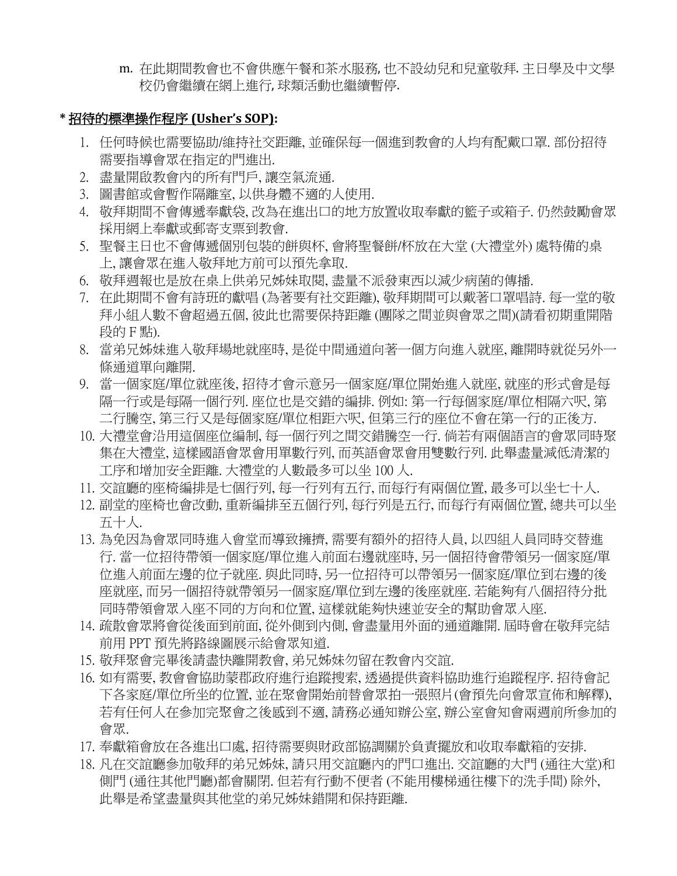m. 在此期間教會也不會供應午餐和茶水服務, 也不設幼兒和兒童敬拜. 主日學及中文學 校仍會繼續在網上進行, 球類活動也繼續暫停.

### **\*** 招待的標準操作程序 **(Usher's SOP):**

- 1. 任何時候也需要協助/維持社交距離, 並確保每一個進到教會的人均有配戴口罩. 部份招待 需要指導會眾在指定的門進出.
- 2. 盡量開啟教會內的所有門戶, 讓空氣流通.
- 3. 圖書館或會暫作隔離室, 以供身體不適的人使用.
- 4. 敬拜期間不會傳遞奉獻袋, 改為在進出口的地方放置收取奉獻的籃子或箱子. 仍然鼓勵會眾 採用網上奉獻或郵寄支票到教會.
- 5. 聖餐主日也不會傳遞個別包裝的餅與杯, 會將聖餐餅/杯放在大堂 (大禮堂外) 處特備的桌 上, 讓會眾在進入敬拜地方前可以預先拿取.
- 6. 敬拜週報也是放在桌上供弟兄姊妹取閱, 盡量不派發東西以減少病菌的傳播.
- 7. 在此期間不會有詩班的獻唱 (為著要有社交距離), 敬拜期間可以戴著口罩唱詩. 每一堂的敬 拜小組人數不會超過五個, 彼此也需要保持距離 (團隊之間並與會眾之間)(請看初期重開階 段的 F 點).
- 8. 當弟兄姊妹進入敬拜場地就座時, 是從中間通道向著一個方向進入就座, 離開時就從另外一 條通道單向離開.
- 9. 當一個家庭/單位就座後, 招待才會示意另一個家庭/單位開始進入就座, 就座的形式會是每 隔一行或是每隔一個行列. 座位也是交錯的編排. 例如: 第一行每個家庭/單位相隔六呎, 第 二行騰空, 第三行又是每個家庭/單位相距六呎, 但第三行的座位不會在第一行的正後方.
- 10. 大禮堂會沿用這個座位編制, 每一個行列之間交錯騰空一行. 倘若有兩個語言的會眾同時聚 集在大禮堂, 這樣國語會眾會用單數行列, 而英語會眾會用雙數行列. 此舉盡量減低清潔的 工序和增加安全距離. 大禮堂的人數最多可以坐 100 人.
- 11. 交誼廳的座椅編排是七個行列, 每一行列有五行, 而每行有兩個位置, 最多可以坐七十人.
- 12. 副堂的座椅也會改動, 重新編排至五個行列, 每行列是五行, 而每行有兩個位置, 總共可以坐 五十人.
- 13. 為免因為會眾同時進入會堂而導致擁擠, 需要有額外的招待人員, 以四組人員同時交替進 行. 當一位招待帶領一個家庭/單位進入前面右邊就座時, 另一個招待會帶領另一個家庭/單 位進入前面左邊的位子就座. 與此同時, 另一位招待可以帶領另一個家庭/單位到右邊的後 座就座, 而另一個招待就帶領另一個家庭/單位到左邊的後座就座. 若能夠有八個招待分批 同時帶領會眾入座不同的方向和位置, 這樣就能夠快速並安全的幫助會眾入座.
- 14. 疏散會眾將會從後面到前面, 從外側到內側, 會盡量用外面的通道離開. 屆時會在敬拜完結 前用 PPT 預先將路線圖展示給會眾知道.
- 15. 敬拜聚會完畢後請盡快離開教會, 弟兄姊妹勿留在教會內交誼.
- 16. 如有需要, 教會會協助蒙郡政府進行追蹤搜索, 透過提供資料協助進行追蹤程序. 招待會記 下各家庭/單位所坐的位置, 並在聚會開始前替會眾拍一張照片(會預先向會眾宣佈和解釋), 若有任何人在參加完聚會之後感到不適, 請務必通知辦公室, 辦公室會知會兩週前所參加的 會眾.
- 17. 奉獻箱會放在各進出口處, 招待需要與財政部協調關於負責擺放和收取奉獻箱的安排.
- 18. 凡在交誼廳參加敬拜的弟兄姊妹, 請只用交誼廳內的門口進出. 交誼廳的大門 (通往大堂)和 側門 (通往其他門廳)都會關閉. 但若有行動不便者 (不能用樓梯通往樓下的洗手間) 除外, 此舉是希望盡量與其他堂的弟兄姊妹錯開和保持距離.